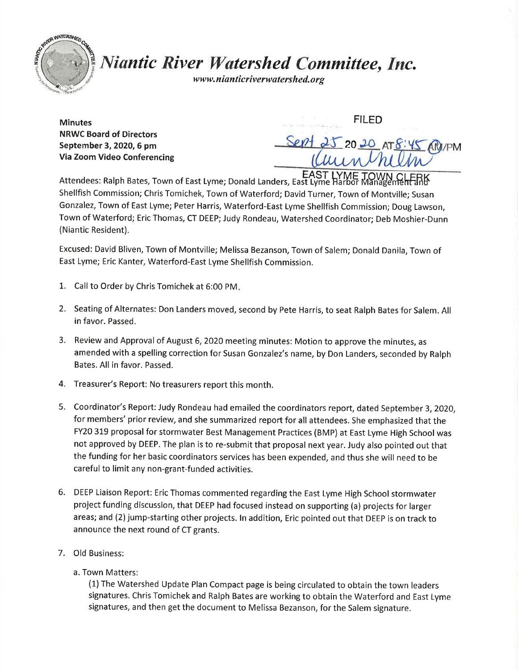

## Niantic River Watershed Committee, Inc.

www.nianticriverwatershed.org

**Minutes** NRWC Board of Directors September 3, 2020, 6 pm Via Zoom Video Conferencing

FILED 20 20 AT 8:45 ANI/PM

Attendees: Ralph Bates, Town of East Lyme; Donald Landers, East Lyme Harbor Management Shellfish Commission; Chris Tomichek, Town of Waterford; David Turner, Town of Montville; Susan Gonzalez, Town of East Lyme; Peter Harris, Waterford-East Lyme Shellfish Commission; Doug Lawson, Town of Waterford; Eric Thomas, CT DEEP; Judy Rondeau, Watershed Coordinator; Deb Moshier-Dunn (Niantic Resident).

Excused: David Bliven, Town of Montville; Melissa Bezanson, Town of Salem; Donald Danila, Town of East Lyme; Eric Kanter, Waterford-East Lyme Shellfish Commission.

- 1. Call to Order by Chris Tomichek at 6:00 pM
- 2. Seating of Alternates: Don Landers moved, second by Pete Harris, to seat Ralph Bates for Salem. All in favor. Passed.
- 3. Review and Approval of August 6, 2020 meeting minutes: Motion to approve the minutes, as amended with a spelling correction for Susan Gonzalez's name, by Don Landers, seconded by Ralph Bates. All in favor. Passed.
- 4. Treasurer's Report: No treasurers report this month.
- 5. Coordinator's Report: Judy Rondeau had emailed the coordinators report, dated September 3,2020, for members' prior review, and she summarized report for all attendees. She emphasized that the FY20 319 proposal for stormwater Best Management Practices (BMP) at East Lyme High School was not approved by DEEP. The plan is to re-submit that proposal next year. Judy also pointed out that the funding for her basic coordinators services has been expended, and thus she will need to be careful to limit any non-grant-funded activities.
- 6. DEEP Liaison Report: Eric Thomas commented regarding the East Lyme High School stormwater project fundlng discussion, that DEEP had focused instead on supporting (a) projects for larger areas; and (2) jump-starting other projects. In addition, Eric pointed out that DEEP is on track to announce the next round of cT grants.
- 7. Old Business:
	- a. Town Matters:

(1) The Watershed Update Plan Compact page is being circulated to obtain the town leaders signatures. Chris Tomichek and Ralph Bates are working to obtain the Waterford and East Lyme signatures, and then get the document to Melissa Bezanson, for the Salem signature.